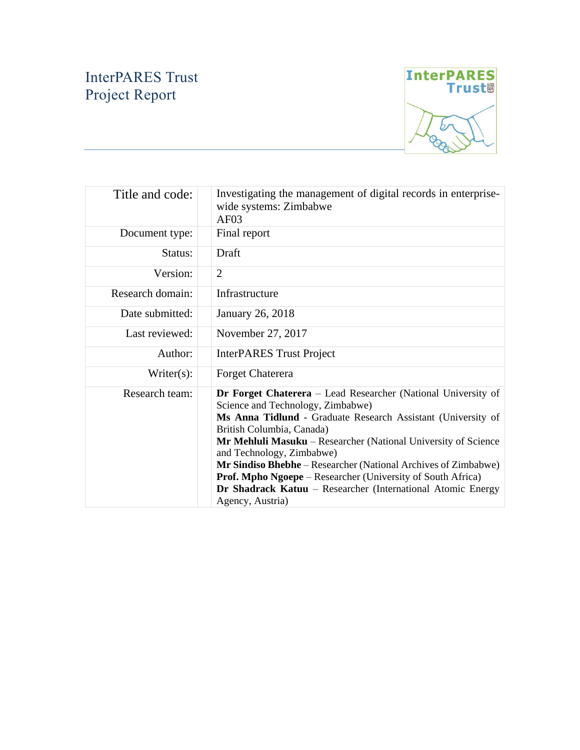# InterPARES Trust Project Report



| Title and code:  | Investigating the management of digital records in enterprise-<br>wide systems: Zimbabwe<br>AF <sub>03</sub>                                                                                                                                                                                                                                                                                                                                                                                                                            |
|------------------|-----------------------------------------------------------------------------------------------------------------------------------------------------------------------------------------------------------------------------------------------------------------------------------------------------------------------------------------------------------------------------------------------------------------------------------------------------------------------------------------------------------------------------------------|
| Document type:   | Final report                                                                                                                                                                                                                                                                                                                                                                                                                                                                                                                            |
| Status:          | Draft                                                                                                                                                                                                                                                                                                                                                                                                                                                                                                                                   |
| Version:         | $\overline{2}$                                                                                                                                                                                                                                                                                                                                                                                                                                                                                                                          |
| Research domain: | Infrastructure                                                                                                                                                                                                                                                                                                                                                                                                                                                                                                                          |
| Date submitted:  | January 26, 2018                                                                                                                                                                                                                                                                                                                                                                                                                                                                                                                        |
| Last reviewed:   | November 27, 2017                                                                                                                                                                                                                                                                                                                                                                                                                                                                                                                       |
| Author:          | <b>InterPARES</b> Trust Project                                                                                                                                                                                                                                                                                                                                                                                                                                                                                                         |
| Writer(s):       | Forget Chaterera                                                                                                                                                                                                                                                                                                                                                                                                                                                                                                                        |
| Research team:   | <b>Dr Forget Chaterera</b> – Lead Researcher (National University of<br>Science and Technology, Zimbabwe)<br>Ms Anna Tidlund - Graduate Research Assistant (University of<br>British Columbia, Canada)<br>Mr Mehluli Masuku – Researcher (National University of Science<br>and Technology, Zimbabwe)<br><b>Mr Sindiso Bhebhe</b> – Researcher (National Archives of Zimbabwe)<br><b>Prof. Mpho Ngoepe</b> – Researcher (University of South Africa)<br>Dr Shadrack Katuu - Researcher (International Atomic Energy<br>Agency, Austria) |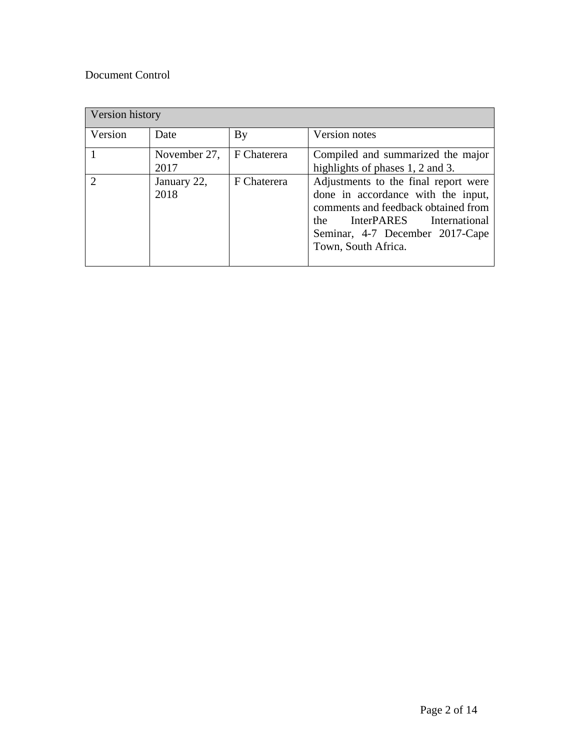## Document Control

| Version history |                      |             |                                                                                                                                                                                                                          |  |
|-----------------|----------------------|-------------|--------------------------------------------------------------------------------------------------------------------------------------------------------------------------------------------------------------------------|--|
| Version         | Date                 | By          | Version notes                                                                                                                                                                                                            |  |
|                 | November 27,<br>2017 | F Chaterera | Compiled and summarized the major<br>highlights of phases 1, 2 and 3.                                                                                                                                                    |  |
| $\mathcal{D}$   | January 22,<br>2018  | F Chaterera | Adjustments to the final report were<br>done in accordance with the input,<br>comments and feedback obtained from<br><b>InterPARES</b><br>International<br>the<br>Seminar, 4-7 December 2017-Cape<br>Town, South Africa. |  |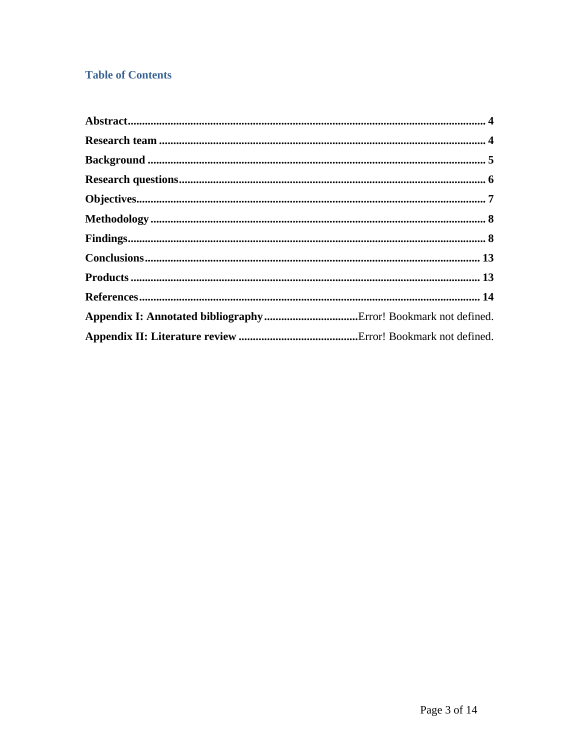# **Table of Contents**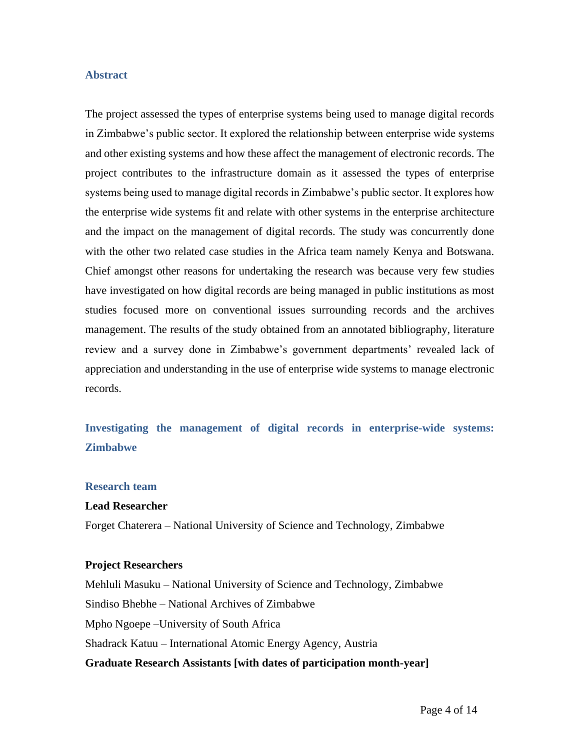### **Abstract**

The project assessed the types of enterprise systems being used to manage digital records in Zimbabwe's public sector. It explored the relationship between enterprise wide systems and other existing systems and how these affect the management of electronic records. The project contributes to the infrastructure domain as it assessed the types of enterprise systems being used to manage digital records in Zimbabwe's public sector. It explores how the enterprise wide systems fit and relate with other systems in the enterprise architecture and the impact on the management of digital records. The study was concurrently done with the other two related case studies in the Africa team namely Kenya and Botswana. Chief amongst other reasons for undertaking the research was because very few studies have investigated on how digital records are being managed in public institutions as most studies focused more on conventional issues surrounding records and the archives management. The results of the study obtained from an annotated bibliography, literature review and a survey done in Zimbabwe's government departments' revealed lack of appreciation and understanding in the use of enterprise wide systems to manage electronic records.

# **Investigating the management of digital records in enterprise-wide systems: Zimbabwe**

#### **Research team**

### **Lead Researcher**

Forget Chaterera – National University of Science and Technology, Zimbabwe

#### **Project Researchers**

**Graduate Research Assistants [with dates of participation month-year]** Mehluli Masuku – National University of Science and Technology, Zimbabwe Sindiso Bhebhe – National Archives of Zimbabwe Mpho Ngoepe –University of South Africa Shadrack Katuu – International Atomic Energy Agency, Austria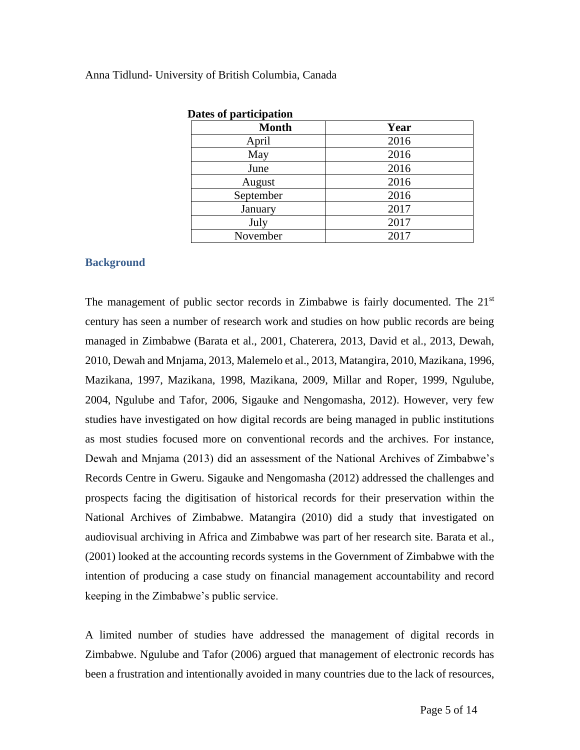| Dates of participation |      |  |  |  |
|------------------------|------|--|--|--|
| <b>Month</b>           | Year |  |  |  |
| April                  | 2016 |  |  |  |
| May                    | 2016 |  |  |  |
| June                   | 2016 |  |  |  |
| August                 | 2016 |  |  |  |
| September              | 2016 |  |  |  |
| January                | 2017 |  |  |  |
| July                   | 2017 |  |  |  |
| November               | 2017 |  |  |  |

### Anna Tidlund- University of British Columbia, Canada

### **Background**

The management of public sector records in Zimbabwe is fairly documented. The  $21<sup>st</sup>$ century has seen a number of research work and studies on how public records are being managed in Zimbabwe (Barata et al., 2001, Chaterera, 2013, David et al., 2013, Dewah, 2010, Dewah and Mnjama, 2013, Malemelo et al., 2013, Matangira, 2010, Mazikana, 1996, Mazikana, 1997, Mazikana, 1998, Mazikana, 2009, Millar and Roper, 1999, Ngulube, 2004, Ngulube and Tafor, 2006, Sigauke and Nengomasha, 2012). However, very few studies have investigated on how digital records are being managed in public institutions as most studies focused more on conventional records and the archives. For instance, Dewah and Mnjama (2013) did an assessment of the National Archives of Zimbabwe's Records Centre in Gweru. Sigauke and Nengomasha (2012) addressed the challenges and prospects facing the digitisation of historical records for their preservation within the National Archives of Zimbabwe. Matangira (2010) did a study that investigated on audiovisual archiving in Africa and Zimbabwe was part of her research site. Barata et al., (2001) looked at the accounting records systems in the Government of Zimbabwe with the intention of producing a case study on financial management accountability and record keeping in the Zimbabwe's public service.

A limited number of studies have addressed the management of digital records in Zimbabwe. Ngulube and Tafor (2006) argued that management of electronic records has been a frustration and intentionally avoided in many countries due to the lack of resources,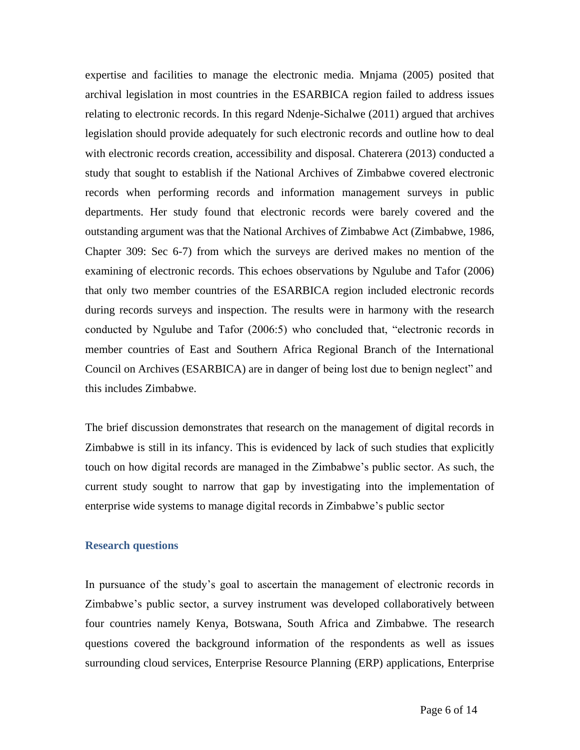expertise and facilities to manage the electronic media. Mnjama (2005) posited that archival legislation in most countries in the ESARBICA region failed to address issues relating to electronic records. In this regard Ndenje-Sichalwe (2011) argued that archives legislation should provide adequately for such electronic records and outline how to deal with electronic records creation, accessibility and disposal. Chaterera (2013) conducted a study that sought to establish if the National Archives of Zimbabwe covered electronic records when performing records and information management surveys in public departments. Her study found that electronic records were barely covered and the outstanding argument was that the National Archives of Zimbabwe Act (Zimbabwe, 1986, Chapter 309: Sec 6-7) from which the surveys are derived makes no mention of the examining of electronic records. This echoes observations by Ngulube and Tafor (2006) that only two member countries of the ESARBICA region included electronic records during records surveys and inspection. The results were in harmony with the research conducted by Ngulube and Tafor (2006:5) who concluded that, "electronic records in member countries of East and Southern Africa Regional Branch of the International Council on Archives (ESARBICA) are in danger of being lost due to benign neglect" and this includes Zimbabwe.

The brief discussion demonstrates that research on the management of digital records in Zimbabwe is still in its infancy. This is evidenced by lack of such studies that explicitly touch on how digital records are managed in the Zimbabwe's public sector. As such, the current study sought to narrow that gap by investigating into the implementation of enterprise wide systems to manage digital records in Zimbabwe's public sector

#### **Research questions**

In pursuance of the study's goal to ascertain the management of electronic records in Zimbabwe's public sector, a survey instrument was developed collaboratively between four countries namely Kenya, Botswana, South Africa and Zimbabwe. The research questions covered the background information of the respondents as well as issues surrounding cloud services, Enterprise Resource Planning (ERP) applications, Enterprise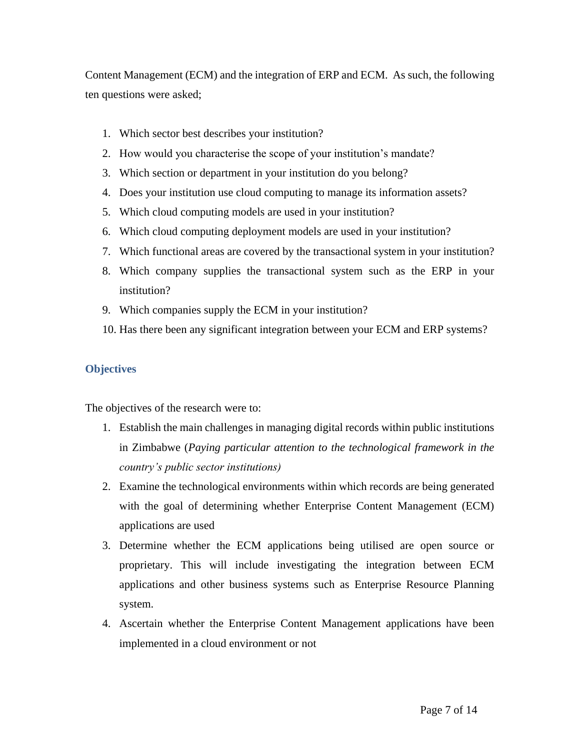Content Management (ECM) and the integration of ERP and ECM. As such, the following ten questions were asked;

- 1. Which sector best describes your institution?
- 2. How would you characterise the scope of your institution's mandate?
- 3. Which section or department in your institution do you belong?
- 4. Does your institution use cloud computing to manage its information assets?
- 5. Which cloud computing models are used in your institution?
- 6. Which cloud computing deployment models are used in your institution?
- 7. Which functional areas are covered by the transactional system in your institution?
- 8. Which company supplies the transactional system such as the ERP in your institution?
- 9. Which companies supply the ECM in your institution?
- 10. Has there been any significant integration between your ECM and ERP systems?

### **Objectives**

The objectives of the research were to:

- 1. Establish the main challenges in managing digital records within public institutions in Zimbabwe (*Paying particular attention to the technological framework in the country's public sector institutions)*
- 2. Examine the technological environments within which records are being generated with the goal of determining whether Enterprise Content Management (ECM) applications are used
- 3. Determine whether the ECM applications being utilised are open source or proprietary. This will include investigating the integration between ECM applications and other business systems such as Enterprise Resource Planning system.
- 4. Ascertain whether the Enterprise Content Management applications have been implemented in a cloud environment or not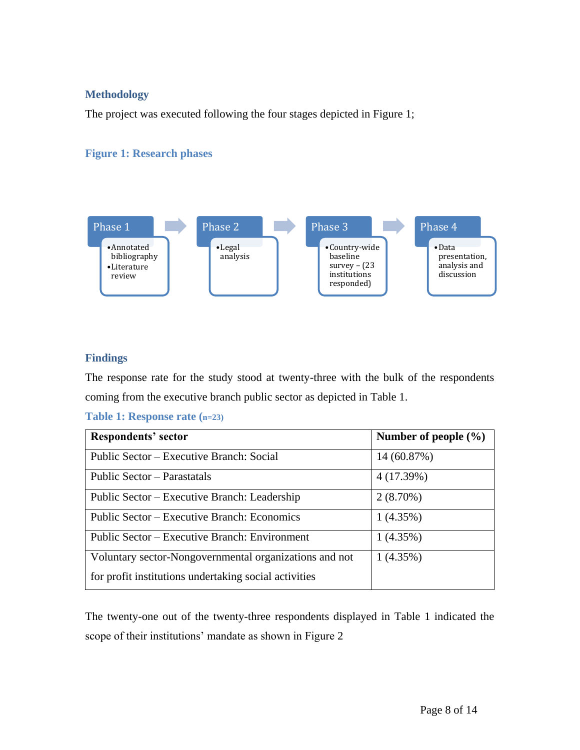### **Methodology**

The project was executed following the four stages depicted in Figure 1;

### **Figure 1: Research phases**



### **Findings**

The response rate for the study stood at twenty-three with the bulk of the respondents coming from the executive branch public sector as depicted in Table 1.

**Table 1: Response rate (n=23)**

| <b>Respondents' sector</b>                             | Number of people $(\% )$ |
|--------------------------------------------------------|--------------------------|
| Public Sector – Executive Branch: Social               | 14 (60.87%)              |
| Public Sector – Parastatals                            | 4(17.39%)                |
| Public Sector – Executive Branch: Leadership           | $2(8.70\%)$              |
| Public Sector – Executive Branch: Economics            | 1(4.35%)                 |
| Public Sector – Executive Branch: Environment          | 1(4.35%)                 |
| Voluntary sector-Nongovernmental organizations and not | 1(4.35%)                 |
| for profit institutions undertaking social activities  |                          |

The twenty-one out of the twenty-three respondents displayed in Table 1 indicated the scope of their institutions' mandate as shown in Figure 2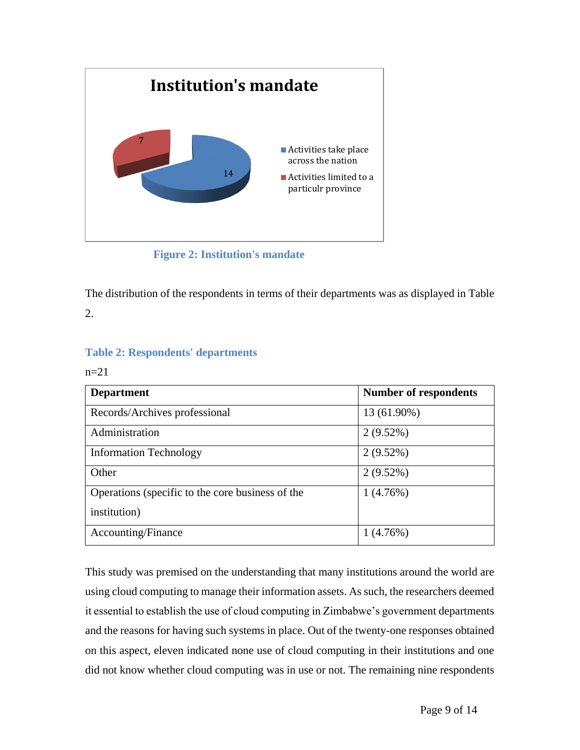

**Figure 2: Institution's mandate**

The distribution of the respondents in terms of their departments was as displayed in Table 2.

### **Table 2: Respondents' departments**

### $n=21$

| <b>Department</b>                                | <b>Number of respondents</b> |
|--------------------------------------------------|------------------------------|
| Records/Archives professional                    | 13 (61.90%)                  |
| Administration                                   | $2(9.52\%)$                  |
| <b>Information Technology</b>                    | $2(9.52\%)$                  |
| Other                                            | $2(9.52\%)$                  |
| Operations (specific to the core business of the | 1(4.76%)                     |
| institution)                                     |                              |
| Accounting/Finance                               | 1(4.76%)                     |

This study was premised on the understanding that many institutions around the world are using cloud computing to manage their information assets. As such, the researchers deemed it essential to establish the use of cloud computing in Zimbabwe's government departments and the reasons for having such systems in place. Out of the twenty-one responses obtained on this aspect, eleven indicated none use of cloud computing in their institutions and one did not know whether cloud computing was in use or not. The remaining nine respondents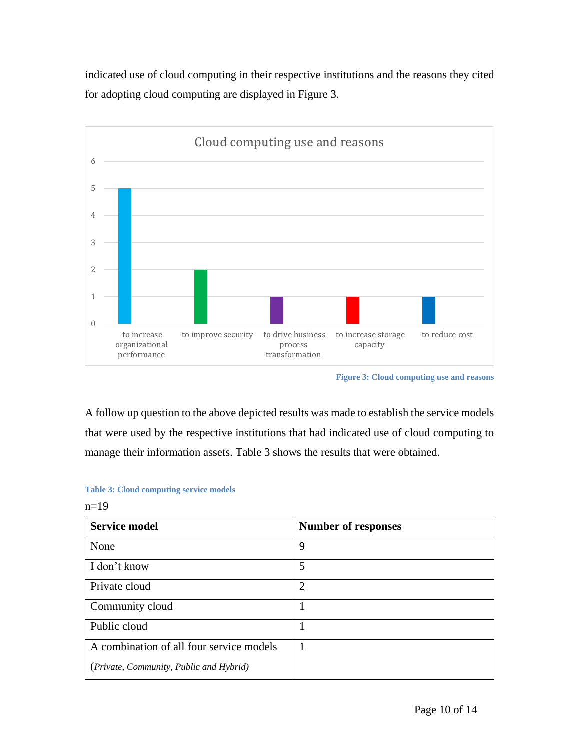indicated use of cloud computing in their respective institutions and the reasons they cited for adopting cloud computing are displayed in Figure 3.



**Figure 3: Cloud computing use and reasons**

A follow up question to the above depicted results was made to establish the service models that were used by the respective institutions that had indicated use of cloud computing to manage their information assets. Table 3 shows the results that were obtained.

#### **Table 3: Cloud computing service models**

n=19

| <b>Service model</b>                     | <b>Number of responses</b> |
|------------------------------------------|----------------------------|
| None                                     | 9                          |
| I don't know                             | 5                          |
| Private cloud                            | $\overline{2}$             |
| Community cloud                          |                            |
| Public cloud                             |                            |
| A combination of all four service models |                            |
| (Private, Community, Public and Hybrid)  |                            |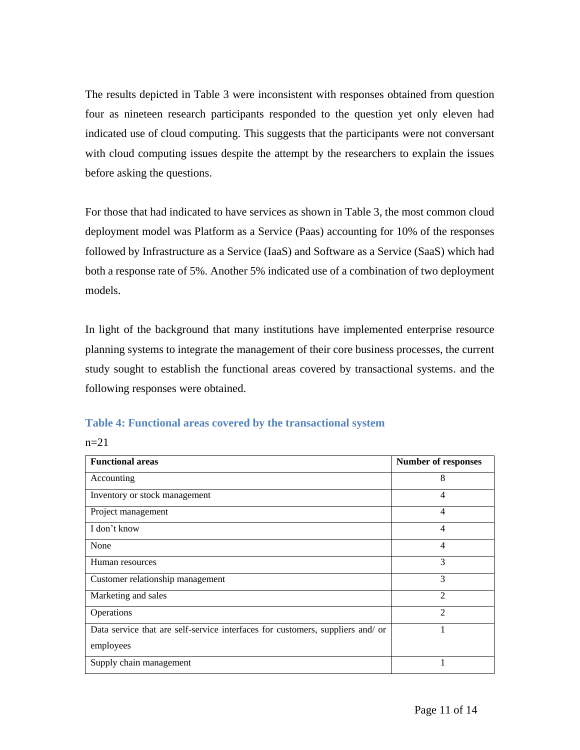The results depicted in Table 3 were inconsistent with responses obtained from question four as nineteen research participants responded to the question yet only eleven had indicated use of cloud computing. This suggests that the participants were not conversant with cloud computing issues despite the attempt by the researchers to explain the issues before asking the questions.

For those that had indicated to have services as shown in Table 3, the most common cloud deployment model was Platform as a Service (Paas) accounting for 10% of the responses followed by Infrastructure as a Service (IaaS) and Software as a Service (SaaS) which had both a response rate of 5%. Another 5% indicated use of a combination of two deployment models.

In light of the background that many institutions have implemented enterprise resource planning systems to integrate the management of their core business processes, the current study sought to establish the functional areas covered by transactional systems. and the following responses were obtained.

|  |  |  | Table 4: Functional areas covered by the transactional system |  |
|--|--|--|---------------------------------------------------------------|--|
|  |  |  |                                                               |  |

 $n=21$ 

| <b>Functional areas</b>                                                        | <b>Number of responses</b> |
|--------------------------------------------------------------------------------|----------------------------|
| Accounting                                                                     | 8                          |
| Inventory or stock management                                                  | $\overline{4}$             |
| Project management                                                             | $\overline{4}$             |
| I don't know                                                                   | $\overline{4}$             |
| None                                                                           | $\overline{4}$             |
| Human resources                                                                | 3                          |
| Customer relationship management                                               | 3                          |
| Marketing and sales                                                            | $\mathfrak{D}$             |
| Operations                                                                     | $\overline{2}$             |
| Data service that are self-service interfaces for customers, suppliers and/ or |                            |
| employees                                                                      |                            |
| Supply chain management                                                        |                            |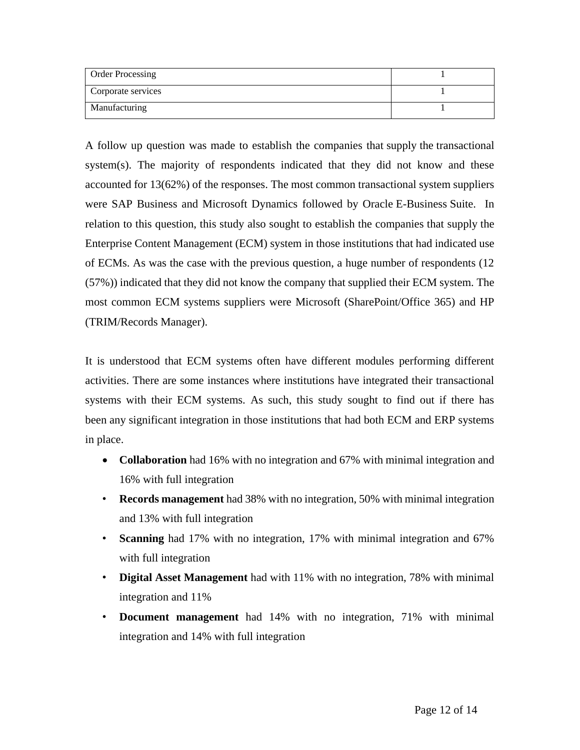| <b>Order Processing</b> |  |
|-------------------------|--|
| Corporate services      |  |
| Manufacturing           |  |

A follow up question was made to establish the companies that supply the transactional system(s). The majority of respondents indicated that they did not know and these accounted for 13(62%) of the responses. The most common transactional system suppliers were SAP Business and Microsoft Dynamics followed by Oracle E-Business Suite. In relation to this question, this study also sought to establish the companies that supply the Enterprise Content Management (ECM) system in those institutions that had indicated use of ECMs. As was the case with the previous question, a huge number of respondents (12 (57%)) indicated that they did not know the company that supplied their ECM system. The most common ECM systems suppliers were Microsoft (SharePoint/Office 365) and HP (TRIM/Records Manager).

It is understood that ECM systems often have different modules performing different activities. There are some instances where institutions have integrated their transactional systems with their ECM systems. As such, this study sought to find out if there has been any significant integration in those institutions that had both ECM and ERP systems in place.

- **Collaboration** had 16% with no integration and 67% with minimal integration and 16% with full integration
- **Records management** had 38% with no integration, 50% with minimal integration and 13% with full integration
- **Scanning** had 17% with no integration, 17% with minimal integration and 67% with full integration
- **Digital Asset Management** had with 11% with no integration, 78% with minimal integration and 11%
- **Document management** had 14% with no integration, 71% with minimal integration and 14% with full integration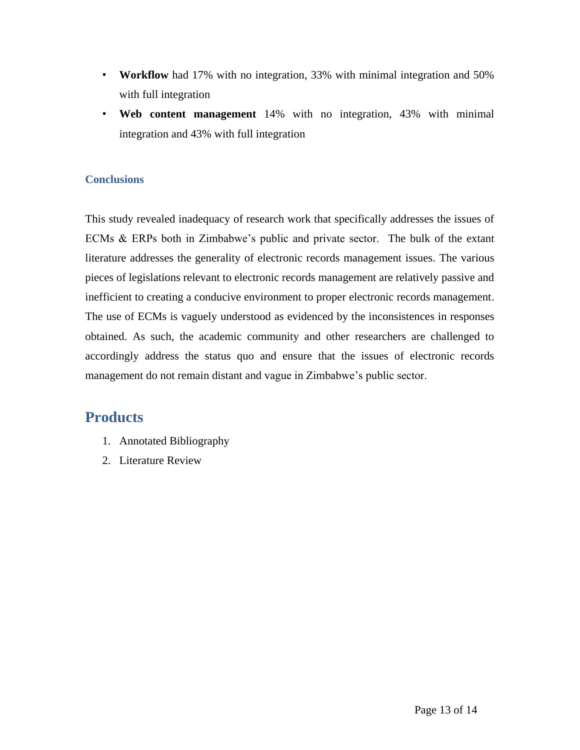- **Workflow** had 17% with no integration, 33% with minimal integration and 50% with full integration
- **Web content management** 14% with no integration, 43% with minimal integration and 43% with full integration

### **Conclusions**

This study revealed inadequacy of research work that specifically addresses the issues of ECMs & ERPs both in Zimbabwe's public and private sector. The bulk of the extant literature addresses the generality of electronic records management issues. The various pieces of legislations relevant to electronic records management are relatively passive and inefficient to creating a conducive environment to proper electronic records management. The use of ECMs is vaguely understood as evidenced by the inconsistences in responses obtained. As such, the academic community and other researchers are challenged to accordingly address the status quo and ensure that the issues of electronic records management do not remain distant and vague in Zimbabwe's public sector.

# **Products**

- 1. Annotated Bibliography
- 2. Literature Review